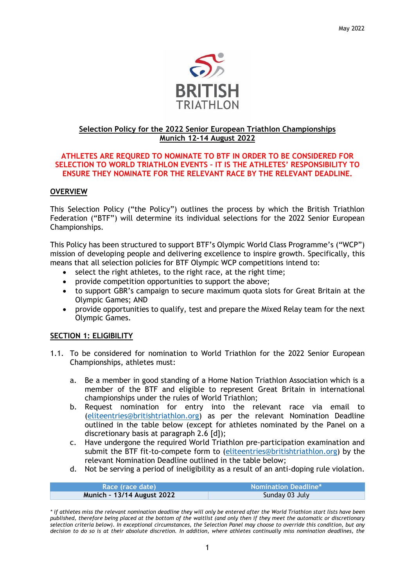

# **Selection Policy for the 2022 Senior European Triathlon Championships Munich 12-14 August 2022**

### **ATHLETES ARE REQURED TO NOMINATE TO BTF IN ORDER TO BE CONSIDERED FOR SELECTION TO WORLD TRIATHLON EVENTS – IT IS THE ATHLETES' RESPONSIBILITY TO ENSURE THEY NOMINATE FOR THE RELEVANT RACE BY THE RELEVANT DEADLINE.**

# **OVERVIEW**

This Selection Policy ("the Policy") outlines the process by which the British Triathlon Federation ("BTF") will determine its individual selections for the 2022 Senior European Championships.

This Policy has been structured to support BTF's Olympic World Class Programme's ("WCP") mission of developing people and delivering excellence to inspire growth. Specifically, this means that all selection policies for BTF Olympic WCP competitions intend to:

- select the right athletes, to the right race, at the right time;
- provide competition opportunities to support the above;
- to support GBR's campaign to secure maximum quota slots for Great Britain at the Olympic Games; AND
- provide opportunities to qualify, test and prepare the Mixed Relay team for the next Olympic Games.

# **SECTION 1: ELIGIBILITY**

- 1.1. To be considered for nomination to World Triathlon for the 2022 Senior European Championships, athletes must:
	- a. Be a member in good standing of a Home Nation Triathlon Association which is a member of the BTF and eligible to represent Great Britain in international championships under the rules of World Triathlon;
	- b. Request nomination for entry into the relevant race via email to [\(eliteentries@britishtriathlon.org\)](mailto:eliteentries@britishtriathlon.org.uk) as per the relevant Nomination Deadline outlined in the table below (except for athletes nominated by the Panel on a discretionary basis at paragraph 2.6 [d]);
	- c. Have undergone the required World Triathlon pre-participation examination and submit the BTF fit-to-compete form to [\(eliteentries@britishtriathlon.org\)](mailto:eliteentries@britishtriathlon.org) by the relevant Nomination Deadline outlined in the table below;
	- d. Not be serving a period of ineligibility as a result of an anti-doping rule violation.

| Race (race date)                  | <b>Nomination Deadline*</b> |
|-----------------------------------|-----------------------------|
| <b>Munich - 13/14 August 2022</b> | Sunday 03 July              |

*\* if athletes miss the relevant nomination deadline they will only be entered after the World Triathlon start lists have been published, therefore being placed at the bottom of the waitlist (and only then if they meet the automatic or discretionary selection criteria below). In exceptional circumstances, the Selection Panel may choose to override this condition, but any decision to do so is at their absolute discretion. In addition, where athletes continually miss nomination deadlines, the*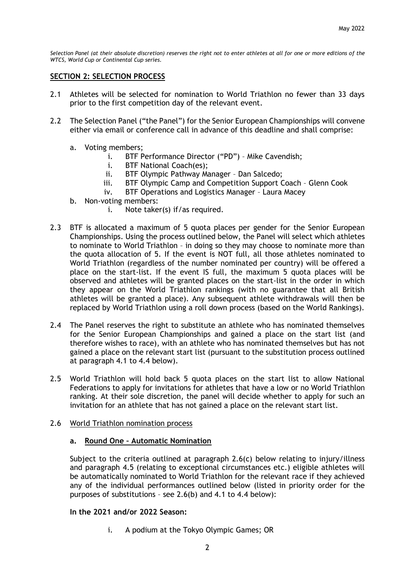*Selection Panel (at their absolute discretion) reserves the right not to enter athletes at all for one or more editions of the WTCS, World Cup or Continental Cup series.*

## **SECTION 2: SELECTION PROCESS**

- 2.1 Athletes will be selected for nomination to World Triathlon no fewer than 33 days prior to the first competition day of the relevant event.
- 2.2 The Selection Panel ("the Panel") for the Senior European Championships will convene either via email or conference call in advance of this deadline and shall comprise:
	- a. Voting members;
		- i. BTF Performance Director ("PD") Mike Cavendish;
		- i. BTF National Coach(es);
		- ii. BTF Olympic Pathway Manager Dan Salcedo;
		- iii. BTF Olympic Camp and Competition Support Coach Glenn Cook
		- iv. BTF Operations and Logistics Manager Laura Macey
	- b. Non-voting members:
		- i. Note taker(s) if/as required.
- 2.3 BTF is allocated a maximum of 5 quota places per gender for the Senior European Championships. Using the process outlined below, the Panel will select which athletes to nominate to World Triathlon – in doing so they may choose to nominate more than the quota allocation of 5. If the event is NOT full, all those athletes nominated to World Triathlon (regardless of the number nominated per country) will be offered a place on the start-list. If the event IS full, the maximum 5 quota places will be observed and athletes will be granted places on the start-list in the order in which they appear on the World Triathlon rankings (with no guarantee that all British athletes will be granted a place). Any subsequent athlete withdrawals will then be replaced by World Triathlon using a roll down process (based on the World Rankings).
- 2.4 The Panel reserves the right to substitute an athlete who has nominated themselves for the Senior European Championships and gained a place on the start list (and therefore wishes to race), with an athlete who has nominated themselves but has not gained a place on the relevant start list (pursuant to the substitution process outlined at paragraph 4.1 to 4.4 below).
- 2.5 World Triathlon will hold back 5 quota places on the start list to allow National Federations to apply for invitations for athletes that have a low or no World Triathlon ranking. At their sole discretion, the panel will decide whether to apply for such an invitation for an athlete that has not gained a place on the relevant start list.
- 2.6 World Triathlon nomination process

#### **a. Round One – Automatic Nomination**

Subject to the criteria outlined at paragraph 2.6(c) below relating to injury/illness and paragraph 4.5 (relating to exceptional circumstances etc.) eligible athletes will be automatically nominated to World Triathlon for the relevant race if they achieved any of the individual performances outlined below (listed in priority order for the purposes of substitutions – see 2.6(b) and 4.1 to 4.4 below):

#### **In the 2021 and/or 2022 Season:**

i. A podium at the Tokyo Olympic Games; OR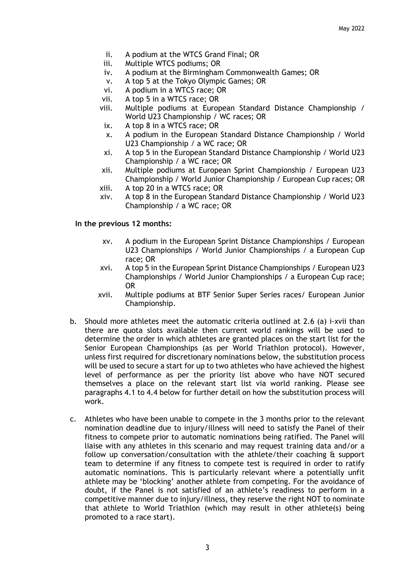- ii. A podium at the WTCS Grand Final; OR
- iii. Multiple WTCS podiums; OR
- iv. A podium at the Birmingham Commonwealth Games; OR
- v. A top 5 at the Tokyo Olympic Games; OR
- vi. A podium in a WTCS race; OR
- vii. A top 5 in a WTCS race; OR
- viii. Multiple podiums at European Standard Distance Championship / World U23 Championship / WC races; OR
- ix. A top 8 in a WTCS race; OR
- x. A podium in the European Standard Distance Championship / World U23 Championship / a WC race; OR
- xi. A top 5 in the European Standard Distance Championship / World U23 Championship / a WC race; OR
- xii. Multiple podiums at European Sprint Championship / European U23 Championship / World Junior Championship / European Cup races; OR
- xiii. A top 20 in a WTCS race; OR
- xiv. A top 8 in the European Standard Distance Championship / World U23 Championship / a WC race; OR

# **In the previous 12 months:**

- xv. A podium in the European Sprint Distance Championships / European U23 Championships / World Junior Championships / a European Cup race; OR
- xvi. A top 5 in the European Sprint Distance Championships / European U23 Championships / World Junior Championships / a European Cup race; OR
- xvii. Multiple podiums at BTF Senior Super Series races/ European Junior Championship.
- b. Should more athletes meet the automatic criteria outlined at 2.6 (a) i-xvii than there are quota slots available then current world rankings will be used to determine the order in which athletes are granted places on the start list for the Senior European Championships (as per World Triathlon protocol). However, unless first required for discretionary nominations below, the substitution process will be used to secure a start for up to two athletes who have achieved the highest level of performance as per the priority list above who have NOT secured themselves a place on the relevant start list via world ranking. Please see paragraphs 4.1 to 4.4 below for further detail on how the substitution process will work.
- c. Athletes who have been unable to compete in the 3 months prior to the relevant nomination deadline due to injury/illness will need to satisfy the Panel of their fitness to compete prior to automatic nominations being ratified. The Panel will liaise with any athletes in this scenario and may request training data and/or a follow up conversation/consultation with the athlete/their coaching & support team to determine if any fitness to compete test is required in order to ratify automatic nominations. This is particularly relevant where a potentially unfit athlete may be 'blocking' another athlete from competing. For the avoidance of doubt, if the Panel is not satisfied of an athlete's readiness to perform in a competitive manner due to injury/illness, they reserve the right NOT to nominate that athlete to World Triathlon (which may result in other athlete(s) being promoted to a race start).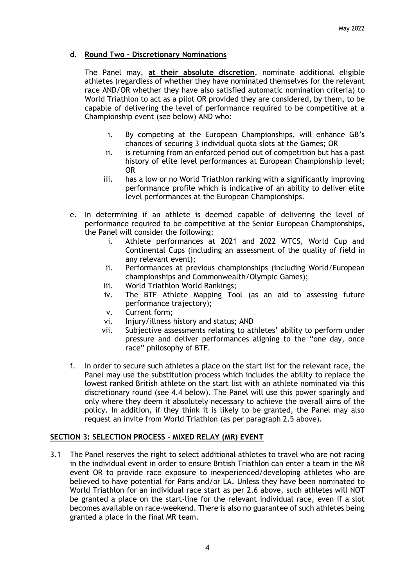# **d. Round Two – Discretionary Nominations**

The Panel may, **at their absolute discretion**, nominate additional eligible athletes (regardless of whether they have nominated themselves for the relevant race AND/OR whether they have also satisfied automatic nomination criteria) to World Triathlon to act as a pilot OR provided they are considered, by them, to be capable of delivering the level of performance required to be competitive at a Championship event (see below) AND who:

- i. By competing at the European Championships, will enhance GB's chances of securing 3 individual quota slots at the Games; OR
- ii. is returning from an enforced period out of competition but has a past history of elite level performances at European Championship level; OR
- iii. has a low or no World Triathlon ranking with a significantly improving performance profile which is indicative of an ability to deliver elite level performances at the European Championships.
- e. In determining if an athlete is deemed capable of delivering the level of performance required to be competitive at the Senior European Championships, the Panel will consider the following:
	- i. Athlete performances at 2021 and 2022 WTCS, World Cup and Continental Cups (including an assessment of the quality of field in any relevant event);
	- ii. Performances at previous championships (including World/European championships and Commonwealth/Olympic Games);
	- iii. World Triathlon World Rankings;
	- iv. The BTF Athlete Mapping Tool (as an aid to assessing future performance trajectory);
	- v. Current form;
	- vi. Injury/illness history and status; AND
	- vii. Subjective assessments relating to athletes' ability to perform under pressure and deliver performances aligning to the "one day, once race" philosophy of BTF.
- f. In order to secure such athletes a place on the start list for the relevant race, the Panel may use the substitution process which includes the ability to replace the lowest ranked British athlete on the start list with an athlete nominated via this discretionary round (see 4.4 below). The Panel will use this power sparingly and only where they deem it absolutely necessary to achieve the overall aims of the policy. In addition, if they think it is likely to be granted, the Panel may also request an invite from World Triathlon (as per paragraph 2.5 above).

# **SECTION 3: SELECTION PROCESS – MIXED RELAY (MR) EVENT**

3.1 The Panel reserves the right to select additional athletes to travel who are not racing in the individual event in order to ensure British Triathlon can enter a team in the MR event OR to provide race exposure to inexperienced/developing athletes who are believed to have potential for Paris and/or LA. Unless they have been nominated to World Triathlon for an individual race start as per 2.6 above, such athletes will NOT be granted a place on the start-line for the relevant individual race, even if a slot becomes available on race-weekend. There is also no guarantee of such athletes being granted a place in the final MR team.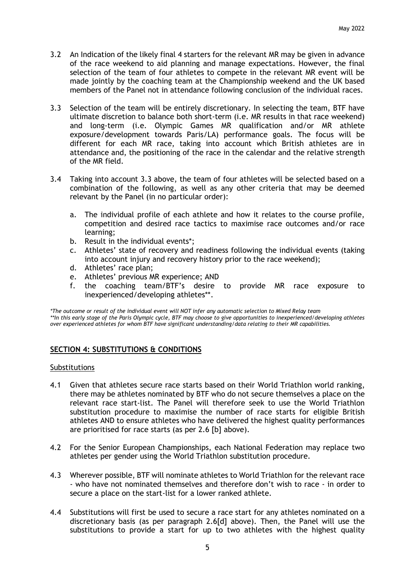- 3.2 An Indication of the likely final 4 starters for the relevant MR may be given in advance of the race weekend to aid planning and manage expectations. However, the final selection of the team of four athletes to compete in the relevant MR event will be made jointly by the coaching team at the Championship weekend and the UK based members of the Panel not in attendance following conclusion of the individual races.
- 3.3 Selection of the team will be entirely discretionary. In selecting the team, BTF have ultimate discretion to balance both short-term (i.e. MR results in that race weekend) and long-term (i.e. Olympic Games MR qualification and/or MR athlete exposure/development towards Paris/LA) performance goals. The focus will be different for each MR race, taking into account which British athletes are in attendance and, the positioning of the race in the calendar and the relative strength of the MR field.
- 3.4 Taking into account 3.3 above, the team of four athletes will be selected based on a combination of the following, as well as any other criteria that may be deemed relevant by the Panel (in no particular order):
	- a. The individual profile of each athlete and how it relates to the course profile, competition and desired race tactics to maximise race outcomes and/or race learning;
	- b. Result in the individual events\*;
	- c. Athletes' state of recovery and readiness following the individual events (taking into account injury and recovery history prior to the race weekend);
	- d. Athletes' race plan;
	- e. Athletes' previous MR experience; AND
	- f. the coaching team/BTF's desire to provide MR race exposure to inexperienced/developing athletes\*\*.

*\*The outcome or result of the individual event will NOT infer any automatic selection to Mixed Relay team \*\*In this early stage of the Paris Olympic cycle, BTF may choose to give opportunities to inexperienced/developing athletes over experienced athletes for whom BTF have significant understanding/data relating to their MR capabilities.*

# **SECTION 4: SUBSTITUTIONS & CONDITIONS**

#### Substitutions

- 4.1 Given that athletes secure race starts based on their World Triathlon world ranking, there may be athletes nominated by BTF who do not secure themselves a place on the relevant race start-list. The Panel will therefore seek to use the World Triathlon substitution procedure to maximise the number of race starts for eligible British athletes AND to ensure athletes who have delivered the highest quality performances are prioritised for race starts (as per 2.6 [b] above).
- 4.2 For the Senior European Championships, each National Federation may replace two athletes per gender using the World Triathlon substitution procedure.
- 4.3 Wherever possible, BTF will nominate athletes to World Triathlon for the relevant race - who have not nominated themselves and therefore don't wish to race - in order to secure a place on the start-list for a lower ranked athlete.
- 4.4 Substitutions will first be used to secure a race start for any athletes nominated on a discretionary basis (as per paragraph 2.6[d] above). Then, the Panel will use the substitutions to provide a start for up to two athletes with the highest quality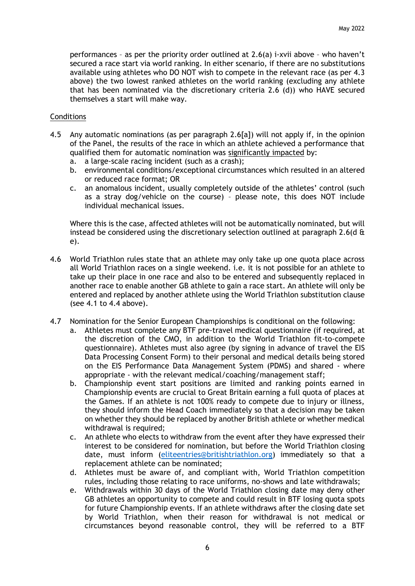performances – as per the priority order outlined at 2.6(a) i-xvii above – who haven't secured a race start via world ranking. In either scenario, if there are no substitutions available using athletes who DO NOT wish to compete in the relevant race (as per 4.3 above) the two lowest ranked athletes on the world ranking (excluding any athlete that has been nominated via the discretionary criteria 2.6 (d)) who HAVE secured themselves a start will make way.

## **Conditions**

- 4.5 Any automatic nominations (as per paragraph 2.6[a]) will not apply if, in the opinion of the Panel, the results of the race in which an athlete achieved a performance that qualified them for automatic nomination was significantly impacted by:
	- a. a large-scale racing incident (such as a crash);
	- b. environmental conditions/exceptional circumstances which resulted in an altered or reduced race format; OR
	- c. an anomalous incident, usually completely outside of the athletes' control (such as a stray dog/vehicle on the course) – please note, this does NOT include individual mechanical issues.

Where this is the case, affected athletes will not be automatically nominated, but will instead be considered using the discretionary selection outlined at paragraph 2.6(d  $\alpha$ e).

- 4.6 World Triathlon rules state that an athlete may only take up one quota place across all World Triathlon races on a single weekend. i.e. it is not possible for an athlete to take up their place in one race and also to be entered and subsequently replaced in another race to enable another GB athlete to gain a race start. An athlete will only be entered and replaced by another athlete using the World Triathlon substitution clause (see 4.1 to 4.4 above).
- 4.7 Nomination for the Senior European Championships is conditional on the following:
	- a. Athletes must complete any BTF pre-travel medical questionnaire (if required, at the discretion of the CMO, in addition to the World Triathlon fit-to-compete questionnaire). Athletes must also agree (by signing in advance of travel the EIS Data Processing Consent Form) to their personal and medical details being stored on the EIS Performance Data Management System (PDMS) and shared - where appropriate - with the relevant medical/coaching/management staff;
	- b. Championship event start positions are limited and ranking points earned in Championship events are crucial to Great Britain earning a full quota of places at the Games. If an athlete is not 100% ready to compete due to injury or illness, they should inform the Head Coach immediately so that a decision may be taken on whether they should be replaced by another British athlete or whether medical withdrawal is required;
	- c. An athlete who elects to withdraw from the event after they have expressed their interest to be considered for nomination, but before the World Triathlon closing date, must inform [\(eliteentries@britishtriathlon.org\)](mailto:eliteentries@britishtriathlon.org) immediately so that a replacement athlete can be nominated;
	- d. Athletes must be aware of, and compliant with, World Triathlon competition rules, including those relating to race uniforms, no-shows and late withdrawals;
	- e. Withdrawals within 30 days of the World Triathlon closing date may deny other GB athletes an opportunity to compete and could result in BTF losing quota spots for future Championship events. If an athlete withdraws after the closing date set by World Triathlon, when their reason for withdrawal is not medical or circumstances beyond reasonable control, they will be referred to a BTF